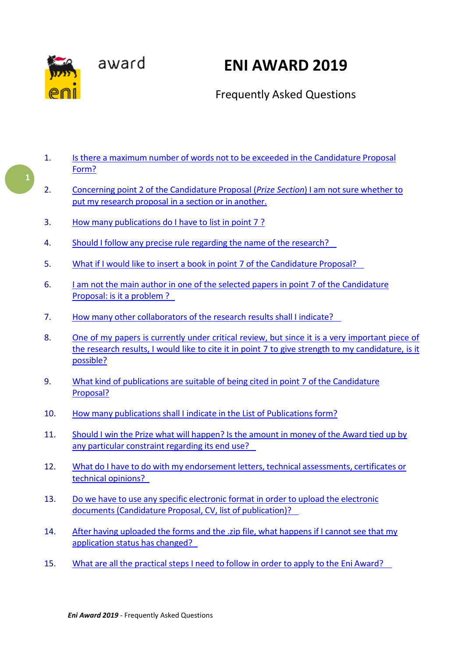

# <span id="page-0-0"></span>**ENI AWARD 2019**

## Frequently Asked Questions

- 1. Is there a maximum number of words not to be exceeded in the [Candidature](#page-1-0) Proposal [Form?](#page-1-0)
- 2. Concerning point 2 of the [Candidature](#page-1-1) Proposal (*Prize Section*) I am not sure whether t[o](#page-1-1) put my [research proposal in](#page-1-1) a section or in another.
- 3. How [many publications do](#page-1-2) I have to list in point 7 ?
- 4. Should I follow any precise rule regarding the name of the [research?](#page-2-0)
- 5. What if I would like to insert a book in point 7 of the [Candidature](#page-2-1) Proposal?
- 6. I am not the main author in one of the selected papers in point 7 of the [Candidature](#page-2-2) [Proposal:](#page-2-2) is it a problem ?
- 7. How many other [collaborators](#page-2-3) of the research results shall I indicate?
- 8. One of my papers is currently under [critical review,](#page-3-0) but since it is a very important piece o[f](#page-3-0) the research results, I would like to cite it in point 7 to give strength to my [candidature, is it](#page-3-0) [possible?](#page-3-0)
- 9. What [kind of publications](#page-3-1) are suitable of being cited in point 7 of the Candidatur[e](#page-3-1) [Proposal?](#page-3-1)
- 10. How many [publications shall](#page-3-2) I indicate in the List of Publications form?
- 11. Should I win the Prize what will [happen?](#page-4-0) Is the amount in money of the Award tied up by any particular [constraint](#page-4-0) regarding its end use?
- 12. What do I have to do with my [endorsement](#page-4-1) letters, technical assessments, certificates o[r](#page-4-1) technical [opinions?](#page-4-1)
- 13. Do we have to use any specific [electronic format](#page-4-2) in order to upload the electronic documents (Candidature Proposal, CV, list of [publication\)?](#page-4-2)
- 14. After having [uploaded](#page-5-0) the forms and the .zip file, what happens if I cannot see that m[y](#page-5-0) [application](#page-5-0) status has changed?
- 15. What are all the [practical steps](#page-5-1) I need to follow in order to apply to the Eni Award?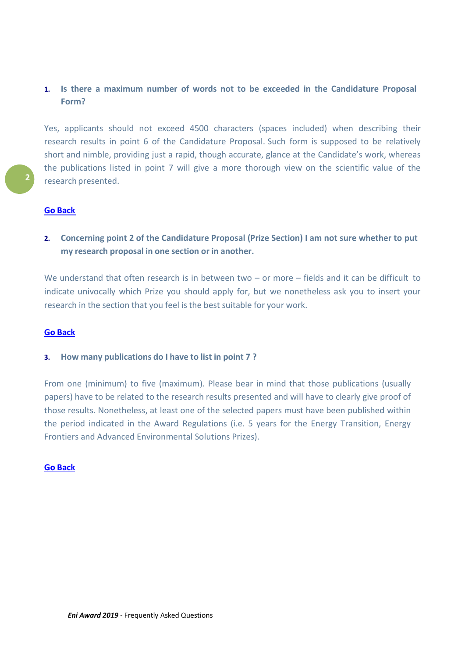### <span id="page-1-0"></span>**1. Is there a maximum number of words not to be exceeded in the Candidature Proposal Form?**

Yes, applicants should not exceed 4500 characters (spaces included) when describing their research results in point 6 of the Candidature Proposal. Such form is supposed to be relatively short and nimble, providing just a rapid, though accurate, glance at the Candidate's work, whereas the publications listed in point 7 will give a more thorough view on the scientific value of the research presented.

#### **Go [Back](#page-0-0)**

<span id="page-1-1"></span>**2. Concerning point 2 of the Candidature Proposal (Prize Section) I am not sure whether to put my research proposal in one section or in another.**

We understand that often research is in between two – or more – fields and it can be difficult to indicate univocally which Prize you should apply for, but we nonetheless ask you to insert your research in the section that you feel is the best suitable for your work.

#### **Go [Back](#page-0-0)**

#### <span id="page-1-2"></span>**3. How many publications do I have to list in point 7 ?**

From one (minimum) to five (maximum). Please bear in mind that those publications (usually papers) have to be related to the research results presented and will have to clearly give proof of those results. Nonetheless, at least one of the selected papers must have been published within the period indicated in the Award Regulations (i.e. 5 years for the Energy Transition, Energy Frontiers and Advanced Environmental Solutions Prizes).

#### **Go [Back](#page-0-0)**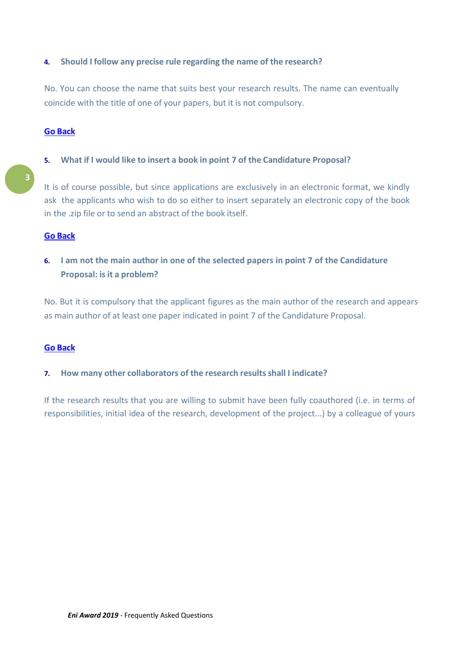#### <span id="page-2-0"></span>**4. Should I follow any precise rule regarding the name of the research?**

No. You can choose the name that suits best your research results. The name can eventually coincide with the title of one of your papers, but it is not compulsory.

#### **Go [Back](#page-0-0)**

#### <span id="page-2-1"></span>**5. What if I would like to insert a book in point 7 of the Candidature Proposal?**

It is of course possible, but since applications are exclusively in an electronic format, we kindly ask the applicants who wish to do so either to insert separately an electronic copy of the book in the .zip file or to send an abstract of the book itself.

#### **Go [Back](#page-0-0)**

<span id="page-2-2"></span>**6. I am not the main author in one of the selected papers in point 7 of the Candidature Proposal: is it a problem?**

No. But it is compulsory that the applicant figures as the main author of the research and appears as main author of at least one paper indicated in point 7 of the Candidature Proposal.

#### **Go [Back](#page-0-0)**

#### <span id="page-2-3"></span>**7. How many other collaborators of the research resultsshall I indicate?**

If the research results that you are willing to submit have been fully coauthored (i.e. in terms of responsibilities, initial idea of the research, development of the project...) by a colleague of yours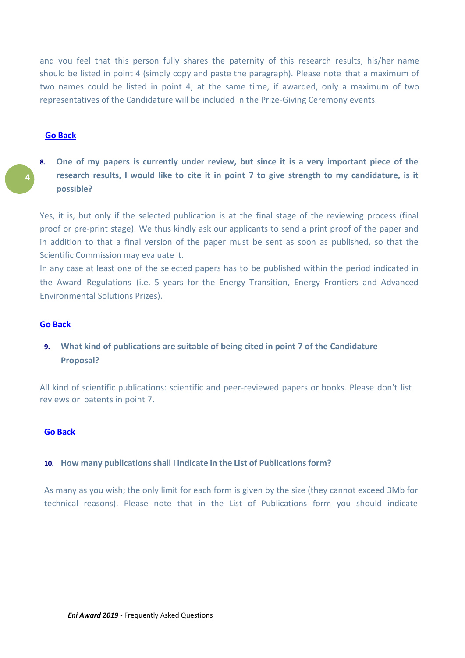and you feel that this person fully shares the paternity of this research results, his/her name should be listed in point 4 (simply copy and paste the paragraph). Please note that a maximum of two names could be listed in point 4; at the same time, if awarded, only a maximum of two representatives of the Candidature will be included in the Prize-Giving Ceremony [events.](#page-0-0)

#### **Go Back**

**4**

<span id="page-3-0"></span>**8. One of my papers is currently under review, but since it is a very important piece of the research results, I would like to cite it in point 7 to give strength to my candidature, is it possible?**

Yes, it is, but only if the selected publication is at the final stage of the reviewing process (final proof or pre-print stage). We thus kindly ask our applicants to send a print proof of the paper and in addition to that a final version of the paper must be sent as soon as published, so that the Scientific Commission may evaluate it.

In any case at least one of the selected papers has to be published within the period indicated in the Award Regulations (i.e. 5 years for the Energy Transition, Energy Frontiers and Advanced Environmental Solutions Prizes).

#### **Go [Back](#page-0-0)**

<span id="page-3-1"></span>**9. What kind of publications are suitable of being cited in point 7 of the Candidature Proposal?**

All kind of scientific publications: scientific and peer-reviewed papers or books. Please don't list reviews or patents in point 7.

#### **Go [Back](#page-0-0)**

#### <span id="page-3-2"></span>**10. How many publicationsshall I indicate in the List of Publications form?**

As many as you wish; the only limit for each form is given by the size (they cannot exceed 3Mb for technical reasons). Please note that in the List of Publications form you should indicate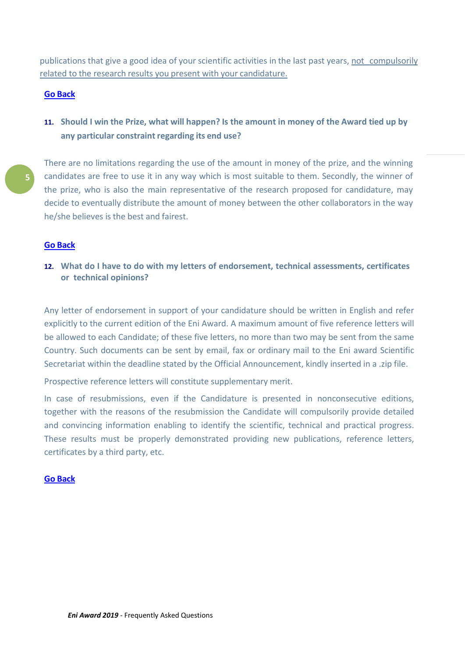<span id="page-4-2"></span>publications that give a good idea of your scientific activities in the last past years, not compulsorily related to the research results you present with your candidature.

#### **Go [Back](#page-0-0)**

<span id="page-4-0"></span>11. Should I win the Prize, what will happen? Is the amount in money of the Award tied up by **any particular constraint regarding its end use?**

There are no limitations regarding the use of the amount in money of the prize, and the winning candidates are free to use it in any way which is most suitable to them. Secondly, the winner of the prize, who is also the main representative of the research proposed for candidature, may decide to eventually distribute the amount of money between the other collaborators in the way he/she believes is the best and fairest.

#### **Go [Back](#page-0-0)**

<span id="page-4-1"></span>**12. What do I have to do with my letters of endorsement, technical assessments, certificates or technical opinions?** 

Any letter of endorsement in support of your candidature should be written in English and refer explicitly to the current edition of the Eni Award. A maximum amount of five reference letters will be allowed to each Candidate; of these five letters, no more than two may be sent from the same Country. Such documents can be sent by email, fax or ordinary mail to the Eni award Scientific Secretariat within the deadline stated by the Official Announcement, kindly inserted in a .zip file.

Prospective reference letters will constitute supplementary merit.

In case of resubmissions, even if the Candidature is presented in nonconsecutive editions, together with the reasons of the resubmission the Candidate will compulsorily provide detailed and convincing information enabling to identify the scientific, technical and practical progress. These results must be properly demonstrated providing new publications, reference letters, certificates by a third party, etc.

#### **Go [Back](#page-0-0)**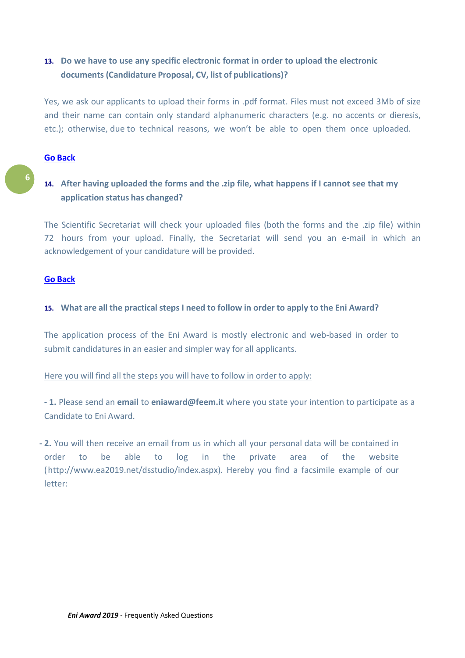## **13. Do we have to use any specific electronic format in order to upload the electronic documents (Candidature Proposal, CV, list of publications)?**

Yes, we ask our applicants to upload their forms in .pdf format. Files must not exceed 3Mb of size and their name can contain only standard alphanumeric characters (e.g. no accents or dieresis, etc.); otherwise, due to technical reasons, we won't be able to open them once uploaded.

#### **Go [Back](#page-0-0)**

## <span id="page-5-0"></span>**14. After having uploaded the forms and the .zip file, what happens if I cannot see that my application status has changed?**

The Scientific Secretariat will check your uploaded files (both the forms and the .zip file) within 72 hours from your upload. Finally, the Secretariat will send you an e-mail in which an acknowledgement of your candidature will be provided.

#### **Go [Back](#page-0-0)**

#### <span id="page-5-1"></span>**15. What are all the practical steps I need to follow in order to apply to the Eni Award?**

The application process of the Eni Award is mostly electronic and web-based in order to submit candidatures in an easier and simpler way for all applicants.

#### Here you will find all the steps you will have to follow in order to apply:

**- 1.** Please send an **email** to **[eniaward@feem.it](mailto:eniaward@feem.it)** where you state your intention to participate as a Candidate to Eni Award.

**- 2.** You will then receive an email from us in which all your personal data will be contained in order to be able to log in the private area of the website (http://www.ea2019.net/dsstudio/index.aspx). Hereby you find a facsimile example of our letter: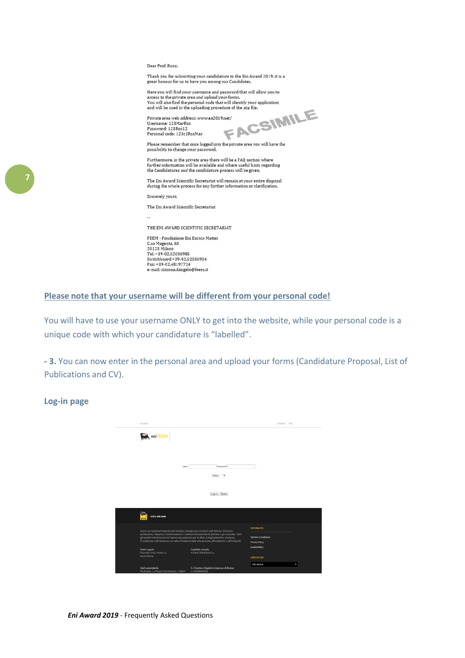Dear Prof. Rossi,

Thank you for submitting your candidature to the Eni Award 2019, it is a<br>great honour for us to have you among our Candidates.

Here you will find your username and password that will allow you to Access to the private area and upload your forms.<br>You will also find the personal code that will identify your application<br>and will be used in the uploading procedure of the .zip file.

Private area web address: www.ea2019.net/<br>Username: 123MarRos Password: 123Ros12<br>Personal code: 123c1RosMar

show the sign file.

Please remember that once logged into the private area you will have the possibility to change your password.

Furthermore, in the private area there will be a FAQ section where<br>further information will be available and where useful hints regarding the Candidatures and the candidature process will be given.

The Eni Award Scientific Secretariat will remain at your entire disposal during the whole process for any further information or clarification

Sincerely yours

The Eni Award Scientific Secretariat

THE ENI AWARD SCIENTIFIC SECRETARIAT

FEEM - Fondazione Eni Enrico Mattei C.so Magenta, 63<br>20123 Milano Tel: +39-02.52036985<br>Switchboard +39-02.52036934 Fax: +39-02.48197724 e-mail: simona.dangelo@feem.it

#### **Please note that your username will be different from your personal code!**

You will have to use your username ONLY to get into the website, while your personal code is a unique code with which your candidature is "labelled".

**- 3.** You can now enter in the personal area and upload your forms (Candidature Proposal, List of Publications and CV).

#### **Log-in page**

| eni, com                                                                                                                                                                             |                                                                                                                                                                                                   | Contacts FAO                                                        |
|--------------------------------------------------------------------------------------------------------------------------------------------------------------------------------------|---------------------------------------------------------------------------------------------------------------------------------------------------------------------------------------------------|---------------------------------------------------------------------|
| <b>MAN</b> eniFEEM                                                                                                                                                                   |                                                                                                                                                                                                   |                                                                     |
|                                                                                                                                                                                      |                                                                                                                                                                                                   |                                                                     |
| User:                                                                                                                                                                                | Password:                                                                                                                                                                                         |                                                                     |
|                                                                                                                                                                                      | Admin<br>$\bullet$                                                                                                                                                                                |                                                                     |
|                                                                                                                                                                                      | Log In Reset                                                                                                                                                                                      |                                                                     |
| visita eni.com                                                                                                                                                                       |                                                                                                                                                                                                   |                                                                     |
| Siamo un'impresa integrata nell'energia, impegnata a crescere nell'attivita' di ricerca,<br>gli uomini e le donne di eni hanno una passione per le sfide, il miglioramento continuo, | produzione, trasporto, trasformazione e commercializzazione di petrolio e gas naturale. Tutti<br>l'eccellenza e attribuiscono un valore fondamentale alla persona, all'ambiente e all'integrita'. | <b>INFORMATIVE</b><br>Termini e Condizioni<br><b>Privacy Policy</b> |
| <b>Sede Legale</b><br>Piazzale Enrico Mattei, 1<br>00144 Roma                                                                                                                        | Capitale sociale<br>€ 4.005.358.876,00 i.v.                                                                                                                                                       | <b>Cookie Policy</b><br><b>ALTRI SITI ENI</b>                       |
| Sedi secondarie<br>Via Emilia, 1 e Piazza Ezio Vanoni, 1 20097                                                                                                                       | C. Fiscale e Registro Imprese di Roma<br>n. 00484960588                                                                                                                                           | Altri siti Eni<br>۰                                                 |

**7**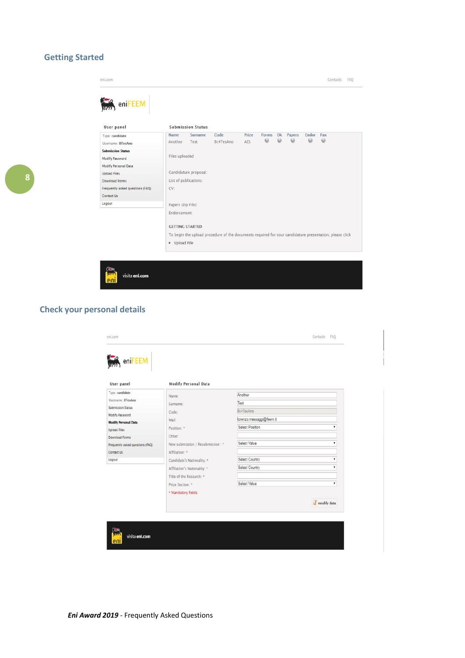## **Getting Started**

| User panel                       |                                                                                                         | <b>Submission Status</b> |           |       |          |          |        |       |          |  |
|----------------------------------|---------------------------------------------------------------------------------------------------------|--------------------------|-----------|-------|----------|----------|--------|-------|----------|--|
| Type: candidate                  | <b>Name</b>                                                                                             | Surname                  | Code      | Prize | Forms Ok | $\omega$ | Papers | Endor | Fax      |  |
| Username: 8TesAno                | Another                                                                                                 | Test                     | 8c4TesAno | AES   | G        |          | 6      | 6     | $\omega$ |  |
| <b>Submission Status</b>         |                                                                                                         |                          |           |       |          |          |        |       |          |  |
| Modify Password                  | Files uploaded                                                                                          |                          |           |       |          |          |        |       |          |  |
| Modify Personal Data             |                                                                                                         |                          |           |       |          |          |        |       |          |  |
| <b>Upload Files</b>              | Candidature proposal:                                                                                   |                          |           |       |          |          |        |       |          |  |
| Download Forms                   | List of publications:                                                                                   |                          |           |       |          |          |        |       |          |  |
| Frequently asked questions (FAQ) | CV:                                                                                                     |                          |           |       |          |          |        |       |          |  |
| Contact Us                       |                                                                                                         |                          |           |       |          |          |        |       |          |  |
| Logout                           | Papers (Zip File):                                                                                      |                          |           |       |          |          |        |       |          |  |
|                                  | Endorsement:                                                                                            |                          |           |       |          |          |        |       |          |  |
|                                  | <b>GETTING STARTED</b>                                                                                  |                          |           |       |          |          |        |       |          |  |
|                                  | To begin the upload procedure of the documents required for your candidature presentation, please click |                          |           |       |          |          |        |       |          |  |
|                                  | · Upload File                                                                                           |                          |           |       |          |          |        |       |          |  |

## **Check your personal details**

| User panel                       | <b>Modify Personal Data</b>      |                          |             |
|----------------------------------|----------------------------------|--------------------------|-------------|
| Type: candidate                  | Name:                            | Another                  |             |
| Username: 8TesAno                | Surname:                         | Test                     |             |
| Submission Status                | Code:                            | 8c4TesAno                |             |
| Modify Password                  | Mail:                            | lorenzo.messaggi@feem.it |             |
| <b>Modify Personal Data</b>      | Position: *                      | Select Position          | ٠           |
| <b>Upload Files</b>              | Other:                           |                          |             |
| Download Forms                   |                                  | Select Value             | v           |
| Frequently asked questions (FAQ) | New submission / Resubmission: * |                          |             |
| Contact Us                       | Affiliation: *                   |                          |             |
| Logout                           | Candidate's Nationality: *       | Select Country           | ۷           |
|                                  | Affiliation's Nationality: *     | Select Country           | ۷           |
|                                  | Title of the Research: *         |                          |             |
|                                  | Prize Section: *                 | Select Value             | ۷           |
|                                  | * Mandatory fields               |                          |             |
|                                  |                                  |                          | modify data |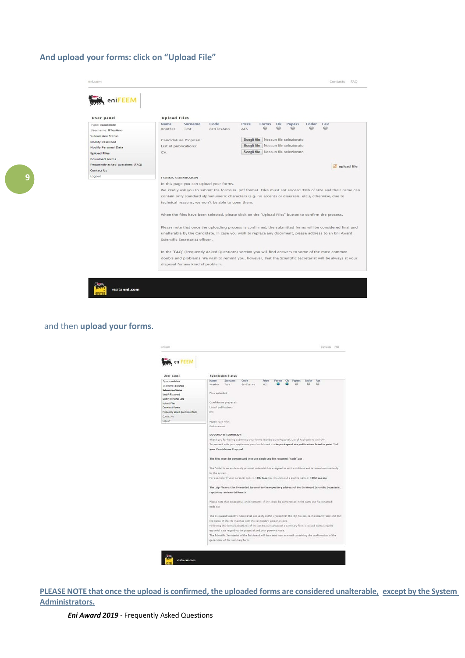#### **And upload your forms: click on "Upload File"**

| eniFEEM                          |                                                                                                            |                                                                                                             |  |  |  |  |
|----------------------------------|------------------------------------------------------------------------------------------------------------|-------------------------------------------------------------------------------------------------------------|--|--|--|--|
| User panel                       | <b>Upload Files</b>                                                                                        |                                                                                                             |  |  |  |  |
| Type: candidate                  | Name<br>Code<br>Prize<br>Surname<br>Forms                                                                  | Endor<br>Ok<br>Papers<br>Fax                                                                                |  |  |  |  |
| Username: 8TesAno                | AES<br>Another<br>8c4TesAno<br>Test                                                                        |                                                                                                             |  |  |  |  |
| Submission Status                |                                                                                                            |                                                                                                             |  |  |  |  |
| Modify Password                  | Candidature Proposal:                                                                                      | Scegli file Nessun file selezionato                                                                         |  |  |  |  |
| Modify Personal Data             | List of publications:                                                                                      | Scegli file Nessun file selezionato                                                                         |  |  |  |  |
| <b>Upload Files</b>              | CV:                                                                                                        | Scegli file Nessun file selezionato                                                                         |  |  |  |  |
| <b>Download Forms</b>            |                                                                                                            |                                                                                                             |  |  |  |  |
| Frequently asked questions (FAQ) |                                                                                                            | upload file                                                                                                 |  |  |  |  |
| Contact Us                       |                                                                                                            |                                                                                                             |  |  |  |  |
| Logout                           | <b>FORMS SUBMISSION</b>                                                                                    |                                                                                                             |  |  |  |  |
|                                  | In this page you can upload your forms.                                                                    |                                                                                                             |  |  |  |  |
|                                  | We kindly ask you to submit the forms in .pdf format. Files must not exceed 3Mb of size and their name can |                                                                                                             |  |  |  |  |
|                                  | contain only standard alphanumeric characters (e.g. no accents or diaeresis, etc.), otherwise, due to      |                                                                                                             |  |  |  |  |
|                                  | technical reasons, we won't be able to open them.                                                          |                                                                                                             |  |  |  |  |
|                                  |                                                                                                            |                                                                                                             |  |  |  |  |
|                                  | Please note that once the uploading process is confirmed, the submitted forms will be considered final and |                                                                                                             |  |  |  |  |
|                                  | unalterable by the Candidate. In case you wish to replace any document, please address to an Eni Award     |                                                                                                             |  |  |  |  |
|                                  | Scientific Secretariat officer.                                                                            |                                                                                                             |  |  |  |  |
|                                  | In the "FAQ" (Frequently Asked Questions) section you will find answers to some of the most common         |                                                                                                             |  |  |  |  |
|                                  |                                                                                                            | doubts and problems. We wish to remind you, however, that the Scientific Secretariat will be always at your |  |  |  |  |
|                                  | disposal for any kind of problem.                                                                          |                                                                                                             |  |  |  |  |
|                                  |                                                                                                            |                                                                                                             |  |  |  |  |

#### and then **upload your forms**.



PLEASE NOTE that once the upload is confirmed, the uploaded forms are considered unalterable, except by the System **Administrators.**